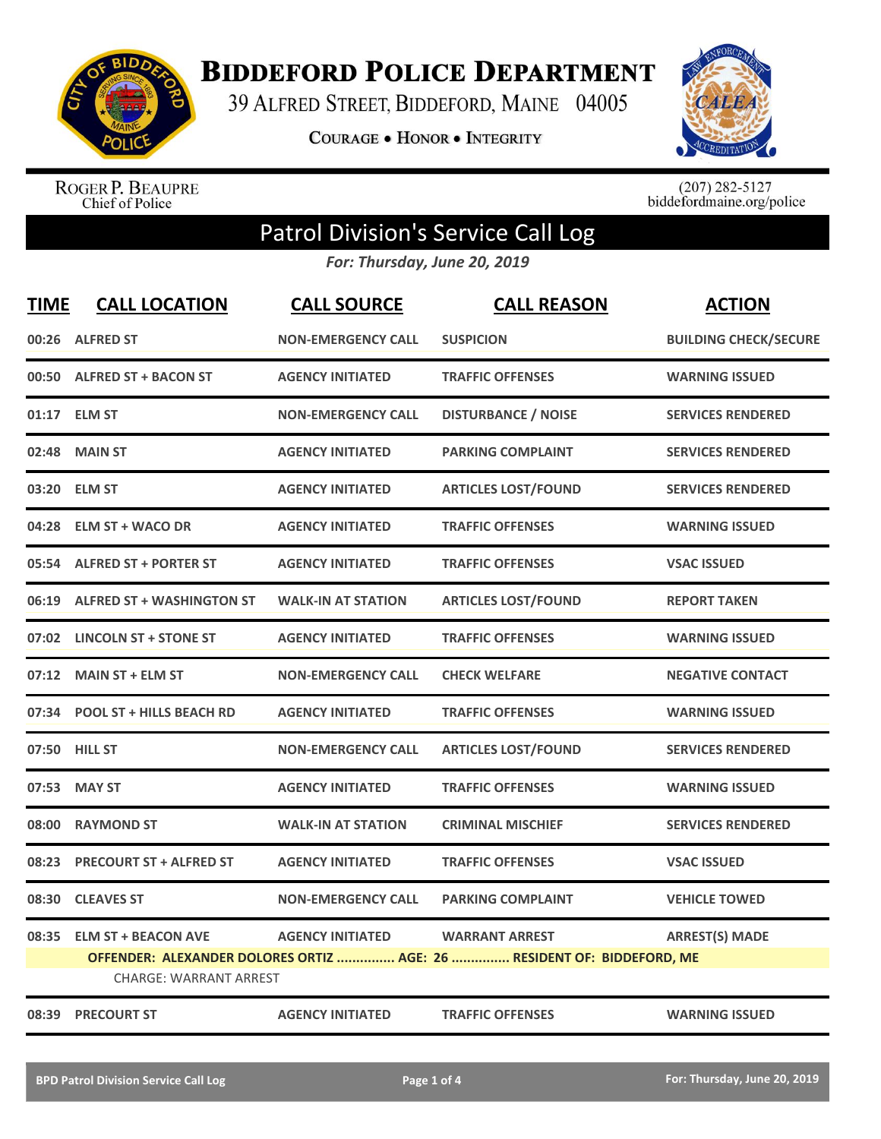

**BIDDEFORD POLICE DEPARTMENT** 

39 ALFRED STREET, BIDDEFORD, MAINE 04005

**COURAGE . HONOR . INTEGRITY** 



ROGER P. BEAUPRE<br>Chief of Police

 $(207)$  282-5127<br>biddefordmaine.org/police

## Patrol Division's Service Call Log

*For: Thursday, June 20, 2019*

| <b>TIME</b> | <b>CALL LOCATION</b>             | <b>CALL SOURCE</b>        | <b>CALL REASON</b>                                                     | <b>ACTION</b>                |
|-------------|----------------------------------|---------------------------|------------------------------------------------------------------------|------------------------------|
|             | 00:26 ALFRED ST                  | <b>NON-EMERGENCY CALL</b> | <b>SUSPICION</b>                                                       | <b>BUILDING CHECK/SECURE</b> |
|             | 00:50 ALFRED ST + BACON ST       | <b>AGENCY INITIATED</b>   | <b>TRAFFIC OFFENSES</b>                                                | <b>WARNING ISSUED</b>        |
|             | 01:17 ELM ST                     | <b>NON-EMERGENCY CALL</b> | <b>DISTURBANCE / NOISE</b>                                             | <b>SERVICES RENDERED</b>     |
| 02:48       | <b>MAIN ST</b>                   | <b>AGENCY INITIATED</b>   | <b>PARKING COMPLAINT</b>                                               | <b>SERVICES RENDERED</b>     |
| 03:20       | <b>ELM ST</b>                    | <b>AGENCY INITIATED</b>   | <b>ARTICLES LOST/FOUND</b>                                             | <b>SERVICES RENDERED</b>     |
|             | 04:28 ELM ST + WACO DR           | <b>AGENCY INITIATED</b>   | <b>TRAFFIC OFFENSES</b>                                                | <b>WARNING ISSUED</b>        |
|             | 05:54 ALFRED ST + PORTER ST      | <b>AGENCY INITIATED</b>   | <b>TRAFFIC OFFENSES</b>                                                | <b>VSAC ISSUED</b>           |
| 06:19       | <b>ALFRED ST + WASHINGTON ST</b> | <b>WALK-IN AT STATION</b> | <b>ARTICLES LOST/FOUND</b>                                             | <b>REPORT TAKEN</b>          |
| 07:02       | <b>LINCOLN ST + STONE ST</b>     | <b>AGENCY INITIATED</b>   | <b>TRAFFIC OFFENSES</b>                                                | <b>WARNING ISSUED</b>        |
|             | 07:12 MAIN ST + ELM ST           | <b>NON-EMERGENCY CALL</b> | <b>CHECK WELFARE</b>                                                   | <b>NEGATIVE CONTACT</b>      |
|             | 07:34 POOL ST + HILLS BEACH RD   | <b>AGENCY INITIATED</b>   | <b>TRAFFIC OFFENSES</b>                                                | <b>WARNING ISSUED</b>        |
|             | 07:50 HILL ST                    | <b>NON-EMERGENCY CALL</b> | <b>ARTICLES LOST/FOUND</b>                                             | <b>SERVICES RENDERED</b>     |
| 07:53       | <b>MAY ST</b>                    | <b>AGENCY INITIATED</b>   | <b>TRAFFIC OFFENSES</b>                                                | <b>WARNING ISSUED</b>        |
| 08:00       | <b>RAYMOND ST</b>                | <b>WALK-IN AT STATION</b> | <b>CRIMINAL MISCHIEF</b>                                               | <b>SERVICES RENDERED</b>     |
| 08:23       | <b>PRECOURT ST + ALFRED ST</b>   | <b>AGENCY INITIATED</b>   | <b>TRAFFIC OFFENSES</b>                                                | <b>VSAC ISSUED</b>           |
| 08:30       | <b>CLEAVES ST</b>                | <b>NON-EMERGENCY CALL</b> | <b>PARKING COMPLAINT</b>                                               | <b>VEHICLE TOWED</b>         |
| 08:35       | <b>ELM ST + BEACON AVE</b>       | <b>AGENCY INITIATED</b>   | <b>WARRANT ARREST</b>                                                  | <b>ARREST(S) MADE</b>        |
|             |                                  |                           | OFFENDER: ALEXANDER DOLORES ORTIZ  AGE: 26  RESIDENT OF: BIDDEFORD, ME |                              |
|             | <b>CHARGE: WARRANT ARREST</b>    |                           |                                                                        |                              |
|             | 08:39 PRECOURT ST                | <b>AGENCY INITIATED</b>   | <b>TRAFFIC OFFENSES</b>                                                | <b>WARNING ISSUED</b>        |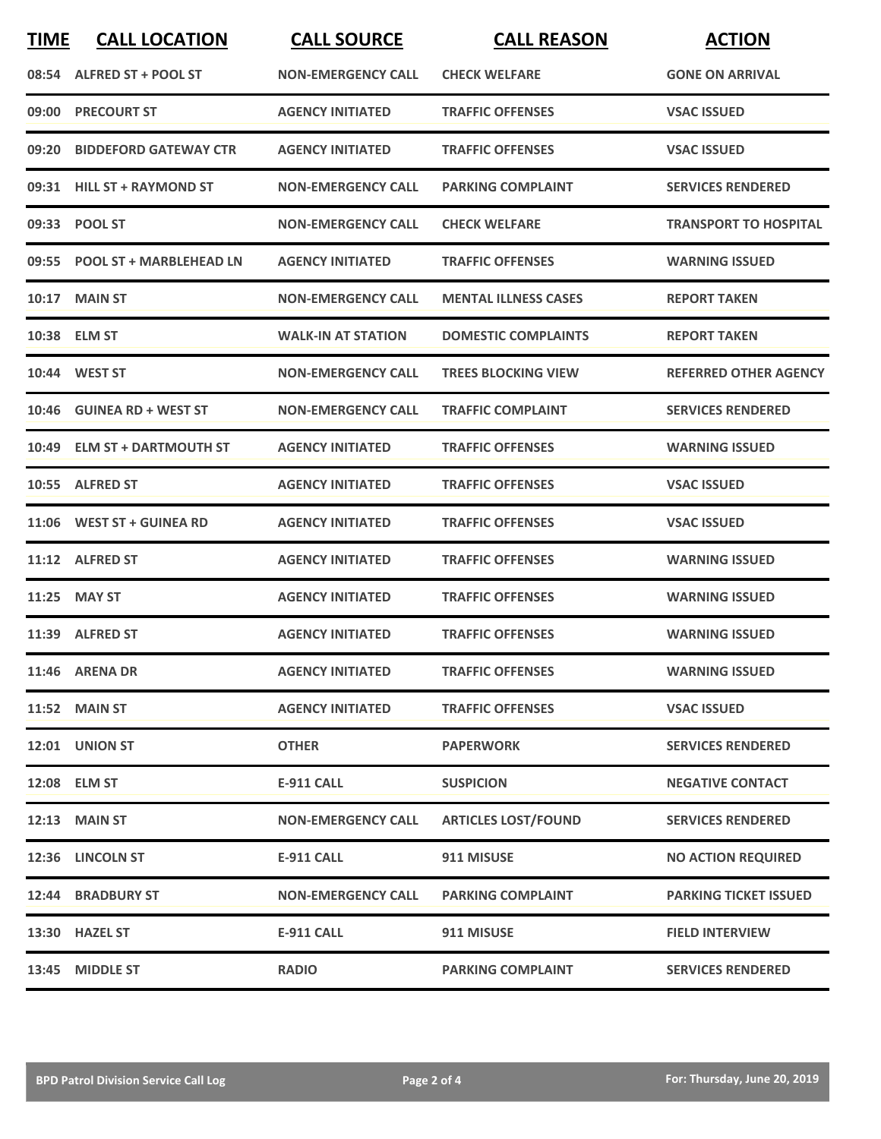| <b>TIME</b> | <b>CALL LOCATION</b>           | <b>CALL SOURCE</b>        | <b>CALL REASON</b>          | <b>ACTION</b>                |
|-------------|--------------------------------|---------------------------|-----------------------------|------------------------------|
| 08:54       | ALFRED ST + POOL ST            | <b>NON-EMERGENCY CALL</b> | <b>CHECK WELFARE</b>        | <b>GONE ON ARRIVAL</b>       |
| 09:00       | <b>PRECOURT ST</b>             | <b>AGENCY INITIATED</b>   | <b>TRAFFIC OFFENSES</b>     | <b>VSAC ISSUED</b>           |
| 09:20       | <b>BIDDEFORD GATEWAY CTR</b>   | <b>AGENCY INITIATED</b>   | <b>TRAFFIC OFFENSES</b>     | <b>VSAC ISSUED</b>           |
|             | 09:31 HILL ST + RAYMOND ST     | <b>NON-EMERGENCY CALL</b> | <b>PARKING COMPLAINT</b>    | <b>SERVICES RENDERED</b>     |
|             | 09:33 POOL ST                  | <b>NON-EMERGENCY CALL</b> | <b>CHECK WELFARE</b>        | <b>TRANSPORT TO HOSPITAL</b> |
| 09:55       | <b>POOL ST + MARBLEHEAD LN</b> | <b>AGENCY INITIATED</b>   | <b>TRAFFIC OFFENSES</b>     | <b>WARNING ISSUED</b>        |
| 10:17       | <b>MAIN ST</b>                 | <b>NON-EMERGENCY CALL</b> | <b>MENTAL ILLNESS CASES</b> | <b>REPORT TAKEN</b>          |
|             | 10:38 ELM ST                   | <b>WALK-IN AT STATION</b> | <b>DOMESTIC COMPLAINTS</b>  | <b>REPORT TAKEN</b>          |
|             | 10:44 WEST ST                  | <b>NON-EMERGENCY CALL</b> | <b>TREES BLOCKING VIEW</b>  | <b>REFERRED OTHER AGENCY</b> |
|             | 10:46 GUINEA RD + WEST ST      | <b>NON-EMERGENCY CALL</b> | <b>TRAFFIC COMPLAINT</b>    | <b>SERVICES RENDERED</b>     |
| 10:49       | <b>ELM ST + DARTMOUTH ST</b>   | <b>AGENCY INITIATED</b>   | <b>TRAFFIC OFFENSES</b>     | <b>WARNING ISSUED</b>        |
| 10:55       | <b>ALFRED ST</b>               | <b>AGENCY INITIATED</b>   | <b>TRAFFIC OFFENSES</b>     | <b>VSAC ISSUED</b>           |
|             | 11:06 WEST ST + GUINEA RD      | <b>AGENCY INITIATED</b>   | <b>TRAFFIC OFFENSES</b>     | <b>VSAC ISSUED</b>           |
|             | 11:12 ALFRED ST                | <b>AGENCY INITIATED</b>   | <b>TRAFFIC OFFENSES</b>     | <b>WARNING ISSUED</b>        |
| 11:25       | <b>MAY ST</b>                  | <b>AGENCY INITIATED</b>   | <b>TRAFFIC OFFENSES</b>     | <b>WARNING ISSUED</b>        |
|             | 11:39 ALFRED ST                | <b>AGENCY INITIATED</b>   | <b>TRAFFIC OFFENSES</b>     | <b>WARNING ISSUED</b>        |
|             | 11:46 ARENA DR                 | <b>AGENCY INITIATED</b>   | <b>TRAFFIC OFFENSES</b>     | <b>WARNING ISSUED</b>        |
|             | <b>11:52 MAIN ST</b>           | <b>AGENCY INITIATED</b>   | <b>TRAFFIC OFFENSES</b>     | <b>VSAC ISSUED</b>           |
|             | 12:01 UNION ST                 | <b>OTHER</b>              | <b>PAPERWORK</b>            | <b>SERVICES RENDERED</b>     |
|             | 12:08 ELM ST                   | <b>E-911 CALL</b>         | <b>SUSPICION</b>            | <b>NEGATIVE CONTACT</b>      |
|             | 12:13 MAIN ST                  | <b>NON-EMERGENCY CALL</b> | <b>ARTICLES LOST/FOUND</b>  | <b>SERVICES RENDERED</b>     |
|             | 12:36 LINCOLN ST               | <b>E-911 CALL</b>         | 911 MISUSE                  | <b>NO ACTION REQUIRED</b>    |
|             | 12:44 BRADBURY ST              | <b>NON-EMERGENCY CALL</b> | <b>PARKING COMPLAINT</b>    | <b>PARKING TICKET ISSUED</b> |
|             | 13:30 HAZEL ST                 | <b>E-911 CALL</b>         | 911 MISUSE                  | <b>FIELD INTERVIEW</b>       |
|             | 13:45 MIDDLE ST                | <b>RADIO</b>              | <b>PARKING COMPLAINT</b>    | <b>SERVICES RENDERED</b>     |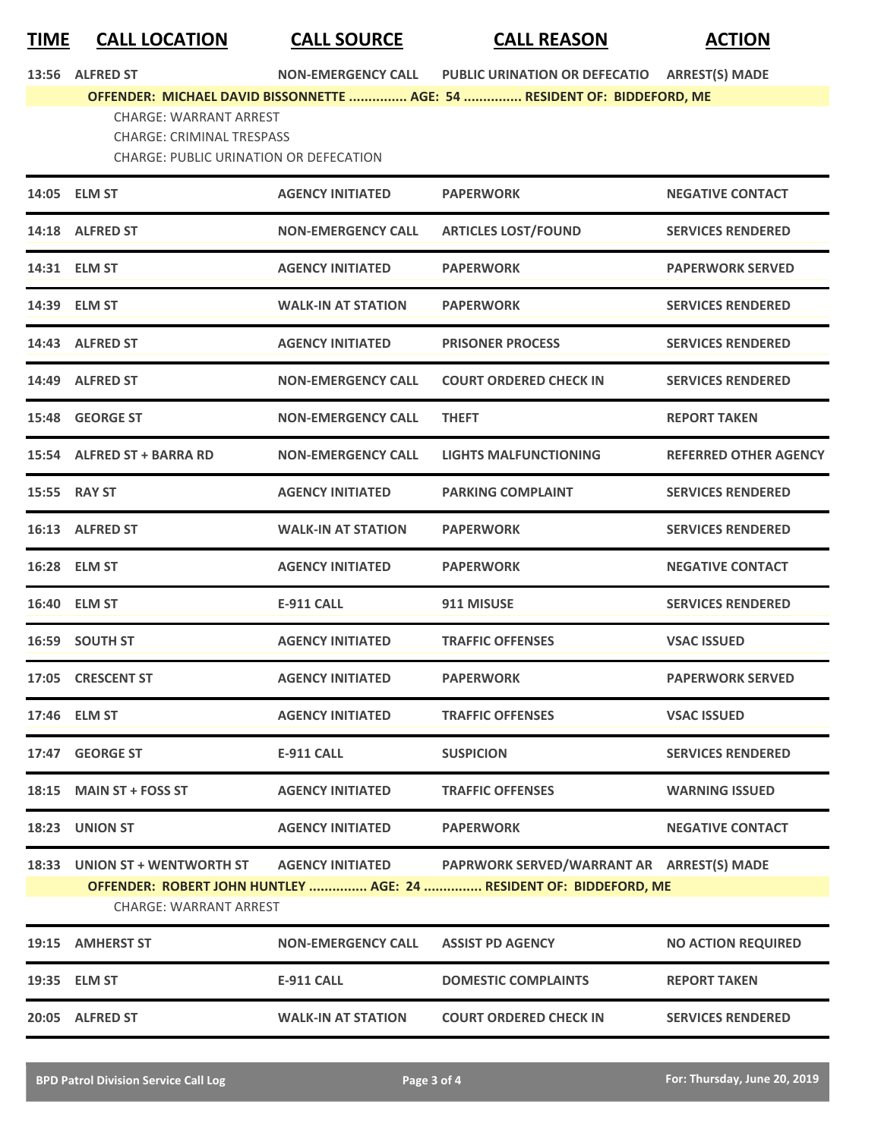**TIME CALL LOCATION CALL SOURCE CALL REASON ACTION**

**13:56 ALFRED ST NON-EMERGENCY CALL PUBLIC URINATION OR DEFECATIO ARREST(S) MADE**

**OFFENDER: MICHAEL DAVID BISSONNETTE ............... AGE: 54 ............... RESIDENT OF: BIDDEFORD, ME**

CHARGE: WARRANT ARREST

CHARGE: CRIMINAL TRESPASS

CHARGE: PUBLIC URINATION OR DEFECATION

|       | 14:05 ELM ST                                                   | <b>AGENCY INITIATED</b>   | <b>PAPERWORK</b>                                                                                                | <b>NEGATIVE CONTACT</b>      |
|-------|----------------------------------------------------------------|---------------------------|-----------------------------------------------------------------------------------------------------------------|------------------------------|
|       | 14:18 ALFRED ST                                                | <b>NON-EMERGENCY CALL</b> | <b>ARTICLES LOST/FOUND</b>                                                                                      | <b>SERVICES RENDERED</b>     |
|       | 14:31 ELM ST                                                   | <b>AGENCY INITIATED</b>   | <b>PAPERWORK</b>                                                                                                | <b>PAPERWORK SERVED</b>      |
|       | 14:39 ELM ST                                                   | <b>WALK-IN AT STATION</b> | <b>PAPERWORK</b>                                                                                                | <b>SERVICES RENDERED</b>     |
|       | 14:43 ALFRED ST                                                | <b>AGENCY INITIATED</b>   | <b>PRISONER PROCESS</b>                                                                                         | <b>SERVICES RENDERED</b>     |
|       | 14:49 ALFRED ST                                                | <b>NON-EMERGENCY CALL</b> | <b>COURT ORDERED CHECK IN</b>                                                                                   | <b>SERVICES RENDERED</b>     |
| 15:48 | <b>GEORGE ST</b>                                               | <b>NON-EMERGENCY CALL</b> | <b>THEFT</b>                                                                                                    | <b>REPORT TAKEN</b>          |
|       | 15:54 ALFRED ST + BARRA RD                                     | <b>NON-EMERGENCY CALL</b> | <b>LIGHTS MALFUNCTIONING</b>                                                                                    | <b>REFERRED OTHER AGENCY</b> |
|       | 15:55 RAY ST                                                   | <b>AGENCY INITIATED</b>   | <b>PARKING COMPLAINT</b>                                                                                        | <b>SERVICES RENDERED</b>     |
|       | 16:13 ALFRED ST                                                | <b>WALK-IN AT STATION</b> | <b>PAPERWORK</b>                                                                                                | <b>SERVICES RENDERED</b>     |
|       | 16:28 ELM ST                                                   | <b>AGENCY INITIATED</b>   | <b>PAPERWORK</b>                                                                                                | <b>NEGATIVE CONTACT</b>      |
|       | 16:40 ELM ST                                                   | <b>E-911 CALL</b>         | 911 MISUSE                                                                                                      | <b>SERVICES RENDERED</b>     |
| 16:59 | <b>SOUTH ST</b>                                                | <b>AGENCY INITIATED</b>   | <b>TRAFFIC OFFENSES</b>                                                                                         | <b>VSAC ISSUED</b>           |
|       | 17:05 CRESCENT ST                                              | <b>AGENCY INITIATED</b>   | <b>PAPERWORK</b>                                                                                                | <b>PAPERWORK SERVED</b>      |
|       | 17:46 ELM ST                                                   | <b>AGENCY INITIATED</b>   | <b>TRAFFIC OFFENSES</b>                                                                                         | <b>VSAC ISSUED</b>           |
|       | 17:47 GEORGE ST                                                | <b>E-911 CALL</b>         | <b>SUSPICION</b>                                                                                                | <b>SERVICES RENDERED</b>     |
|       | 18:15 MAIN ST + FOSS ST                                        | <b>AGENCY INITIATED</b>   | <b>TRAFFIC OFFENSES</b>                                                                                         | <b>WARNING ISSUED</b>        |
|       | 18:23 UNION ST                                                 | <b>AGENCY INITIATED</b>   | <b>PAPERWORK</b>                                                                                                | <b>NEGATIVE CONTACT</b>      |
|       | 18:33 UNION ST + WENTWORTH ST<br><b>CHARGE: WARRANT ARREST</b> | <b>AGENCY INITIATED</b>   | PAPRWORK SERVED/WARRANT AR ARREST(S) MADE<br>OFFENDER: ROBERT JOHN HUNTLEY  AGE: 24  RESIDENT OF: BIDDEFORD, ME |                              |
|       | 19:15 AMHERST ST                                               | <b>NON-EMERGENCY CALL</b> | <b>ASSIST PD AGENCY</b>                                                                                         | <b>NO ACTION REQUIRED</b>    |
|       | 19:35 ELM ST                                                   | <b>E-911 CALL</b>         | <b>DOMESTIC COMPLAINTS</b>                                                                                      | <b>REPORT TAKEN</b>          |
|       | 20:05 ALFRED ST                                                | <b>WALK-IN AT STATION</b> | <b>COURT ORDERED CHECK IN</b>                                                                                   | <b>SERVICES RENDERED</b>     |